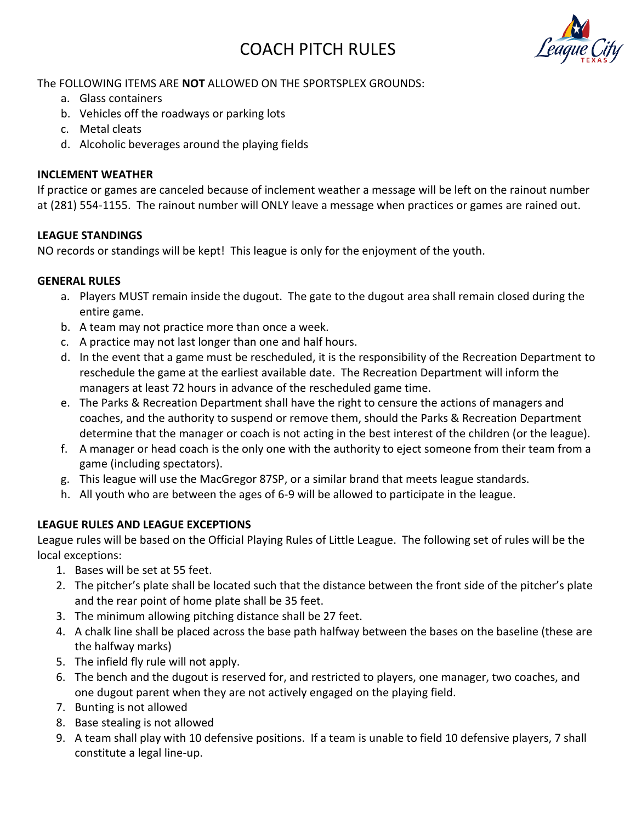# COACH PITCH RULES



## The FOLLOWING ITEMS ARE **NOT** ALLOWED ON THE SPORTSPLEX GROUNDS:

- a. Glass containers
- b. Vehicles off the roadways or parking lots
- c. Metal cleats
- d. Alcoholic beverages around the playing fields

#### **INCLEMENT WEATHER**

If practice or games are canceled because of inclement weather a message will be left on the rainout number at (281) 554-1155. The rainout number will ONLY leave a message when practices or games are rained out.

### **LEAGUE STANDINGS**

NO records or standings will be kept! This league is only for the enjoyment of the youth.

#### **GENERAL RULES**

- a. Players MUST remain inside the dugout. The gate to the dugout area shall remain closed during the entire game.
- b. A team may not practice more than once a week.
- c. A practice may not last longer than one and half hours.
- d. In the event that a game must be rescheduled, it is the responsibility of the Recreation Department to reschedule the game at the earliest available date. The Recreation Department will inform the managers at least 72 hours in advance of the rescheduled game time.
- e. The Parks & Recreation Department shall have the right to censure the actions of managers and coaches, and the authority to suspend or remove them, should the Parks & Recreation Department determine that the manager or coach is not acting in the best interest of the children (or the league).
- f. A manager or head coach is the only one with the authority to eject someone from their team from a game (including spectators).
- g. This league will use the MacGregor 87SP, or a similar brand that meets league standards.
- h. All youth who are between the ages of 6-9 will be allowed to participate in the league.

### **LEAGUE RULES AND LEAGUE EXCEPTIONS**

League rules will be based on the Official Playing Rules of Little League. The following set of rules will be the local exceptions:

- 1. Bases will be set at 55 feet.
- 2. The pitcher's plate shall be located such that the distance between the front side of the pitcher's plate and the rear point of home plate shall be 35 feet.
- 3. The minimum allowing pitching distance shall be 27 feet.
- 4. A chalk line shall be placed across the base path halfway between the bases on the baseline (these are the halfway marks)
- 5. The infield fly rule will not apply.
- 6. The bench and the dugout is reserved for, and restricted to players, one manager, two coaches, and one dugout parent when they are not actively engaged on the playing field.
- 7. Bunting is not allowed
- 8. Base stealing is not allowed
- 9. A team shall play with 10 defensive positions. If a team is unable to field 10 defensive players, 7 shall constitute a legal line-up.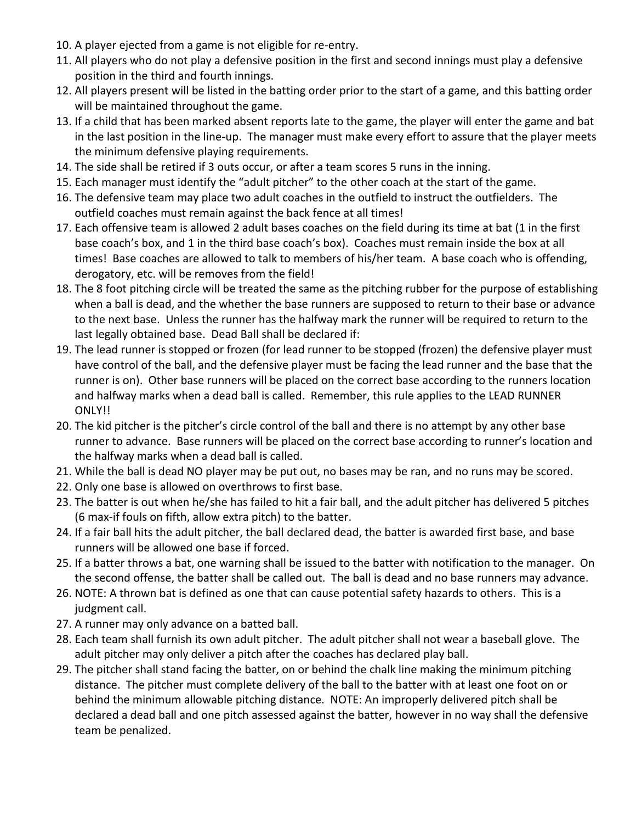- 10. A player ejected from a game is not eligible for re-entry.
- 11. All players who do not play a defensive position in the first and second innings must play a defensive position in the third and fourth innings.
- 12. All players present will be listed in the batting order prior to the start of a game, and this batting order will be maintained throughout the game.
- 13. If a child that has been marked absent reports late to the game, the player will enter the game and bat in the last position in the line-up. The manager must make every effort to assure that the player meets the minimum defensive playing requirements.
- 14. The side shall be retired if 3 outs occur, or after a team scores 5 runs in the inning.
- 15. Each manager must identify the "adult pitcher" to the other coach at the start of the game.
- 16. The defensive team may place two adult coaches in the outfield to instruct the outfielders. The outfield coaches must remain against the back fence at all times!
- 17. Each offensive team is allowed 2 adult bases coaches on the field during its time at bat (1 in the first base coach's box, and 1 in the third base coach's box). Coaches must remain inside the box at all times! Base coaches are allowed to talk to members of his/her team. A base coach who is offending, derogatory, etc. will be removes from the field!
- 18. The 8 foot pitching circle will be treated the same as the pitching rubber for the purpose of establishing when a ball is dead, and the whether the base runners are supposed to return to their base or advance to the next base. Unless the runner has the halfway mark the runner will be required to return to the last legally obtained base. Dead Ball shall be declared if:
- 19. The lead runner is stopped or frozen (for lead runner to be stopped (frozen) the defensive player must have control of the ball, and the defensive player must be facing the lead runner and the base that the runner is on). Other base runners will be placed on the correct base according to the runners location and halfway marks when a dead ball is called. Remember, this rule applies to the LEAD RUNNER ONLY!!
- 20. The kid pitcher is the pitcher's circle control of the ball and there is no attempt by any other base runner to advance. Base runners will be placed on the correct base according to runner's location and the halfway marks when a dead ball is called.
- 21. While the ball is dead NO player may be put out, no bases may be ran, and no runs may be scored.
- 22. Only one base is allowed on overthrows to first base.
- 23. The batter is out when he/she has failed to hit a fair ball, and the adult pitcher has delivered 5 pitches (6 max-if fouls on fifth, allow extra pitch) to the batter.
- 24. If a fair ball hits the adult pitcher, the ball declared dead, the batter is awarded first base, and base runners will be allowed one base if forced.
- 25. If a batter throws a bat, one warning shall be issued to the batter with notification to the manager. On the second offense, the batter shall be called out. The ball is dead and no base runners may advance.
- 26. NOTE: A thrown bat is defined as one that can cause potential safety hazards to others. This is a judgment call.
- 27. A runner may only advance on a batted ball.
- 28. Each team shall furnish its own adult pitcher. The adult pitcher shall not wear a baseball glove. The adult pitcher may only deliver a pitch after the coaches has declared play ball.
- 29. The pitcher shall stand facing the batter, on or behind the chalk line making the minimum pitching distance. The pitcher must complete delivery of the ball to the batter with at least one foot on or behind the minimum allowable pitching distance. NOTE: An improperly delivered pitch shall be declared a dead ball and one pitch assessed against the batter, however in no way shall the defensive team be penalized.